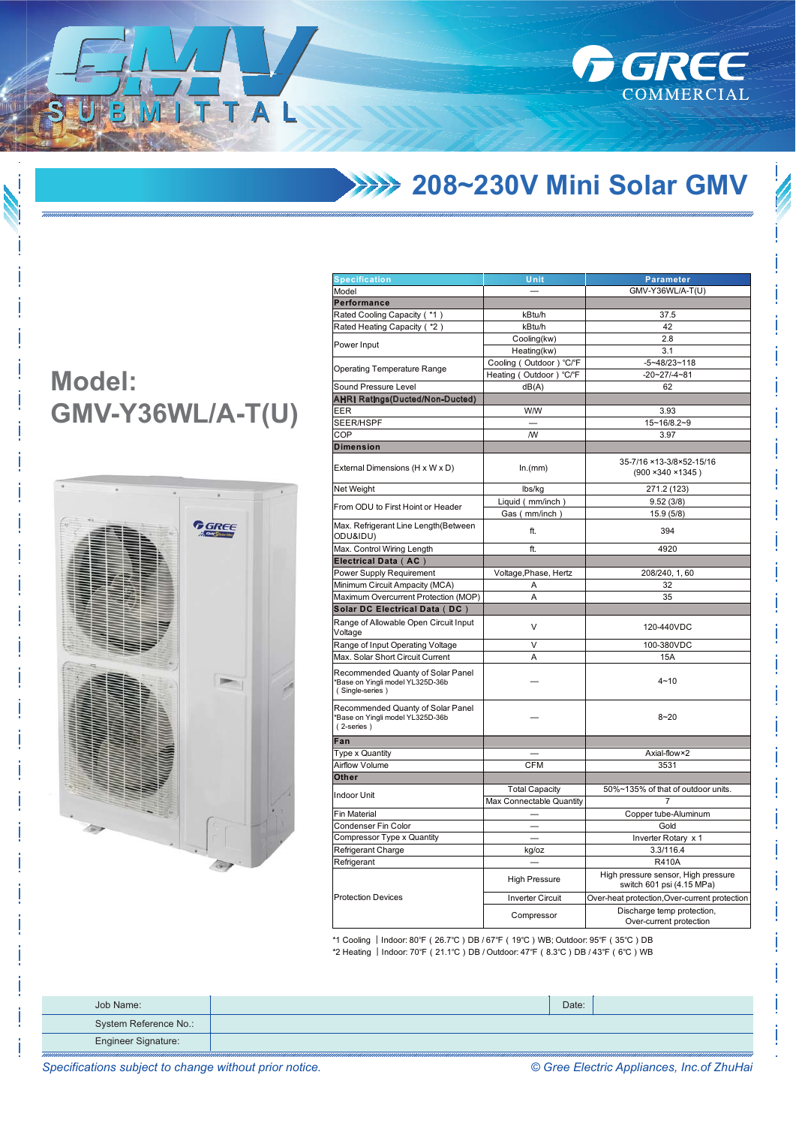**1999 208~230V Mini Solar GMV** 

**REE** 

COMMERCIAL

## **Model:** GMV-Y36WL/A-T(U)

h

T A



| Specification                                                                            |                                                                                                                                                                                                                                                                                                                                                                                                                                                                                                                                              |                                                                  |  |
|------------------------------------------------------------------------------------------|----------------------------------------------------------------------------------------------------------------------------------------------------------------------------------------------------------------------------------------------------------------------------------------------------------------------------------------------------------------------------------------------------------------------------------------------------------------------------------------------------------------------------------------------|------------------------------------------------------------------|--|
| Model                                                                                    |                                                                                                                                                                                                                                                                                                                                                                                                                                                                                                                                              | GMV-Y36WL/A-T(U)                                                 |  |
| Performance                                                                              |                                                                                                                                                                                                                                                                                                                                                                                                                                                                                                                                              |                                                                  |  |
| Rated Cooling Capacity (*1)                                                              | kBtu/h                                                                                                                                                                                                                                                                                                                                                                                                                                                                                                                                       | 37.5                                                             |  |
| Rated Heating Capacity ( *2)                                                             | kBtu/h                                                                                                                                                                                                                                                                                                                                                                                                                                                                                                                                       | 42                                                               |  |
|                                                                                          |                                                                                                                                                                                                                                                                                                                                                                                                                                                                                                                                              |                                                                  |  |
| Power Input                                                                              |                                                                                                                                                                                                                                                                                                                                                                                                                                                                                                                                              |                                                                  |  |
|                                                                                          | Unit<br><b>Parameter</b><br>Cooling(kw)<br>2.8<br>Heating(kw)<br>3.1<br>Cooling (Outdoor) °C/°F<br>$-5 - 48/23 - 118$<br>Heating (Outdoor) °C/°F<br>$-20 - 27 - 4 - 81$<br>62<br>dB(A)<br><b>W/W</b><br>3.93<br>15~16/8.2~9<br><b>NV</b><br>3.97<br>In.(mm)<br>lbs/kg<br>271.2 (123)<br>Liquid (mm/inch)<br>9.52(3/8)<br>Gas (mm/inch)<br>15.9 (5/8)<br>ft.<br>394<br>ft.<br>4920<br>Voltage, Phase, Hertz<br>208/240, 1, 60<br>Α<br>32<br>A<br>35<br>V<br>120-440VDC<br>V<br>100-380VDC<br>Α<br>15A<br>$4 - 10$<br>$8 - 20$<br>Axial-flow×2 |                                                                  |  |
| <b>Operating Temperature Range</b>                                                       |                                                                                                                                                                                                                                                                                                                                                                                                                                                                                                                                              |                                                                  |  |
| Sound Pressure Level                                                                     |                                                                                                                                                                                                                                                                                                                                                                                                                                                                                                                                              |                                                                  |  |
| AHRI Ratings(Ducted/Non-Ducted)                                                          |                                                                                                                                                                                                                                                                                                                                                                                                                                                                                                                                              |                                                                  |  |
| EER                                                                                      |                                                                                                                                                                                                                                                                                                                                                                                                                                                                                                                                              |                                                                  |  |
| SEER/HSPF                                                                                |                                                                                                                                                                                                                                                                                                                                                                                                                                                                                                                                              |                                                                  |  |
| COP                                                                                      |                                                                                                                                                                                                                                                                                                                                                                                                                                                                                                                                              |                                                                  |  |
| <b>Dimension</b>                                                                         |                                                                                                                                                                                                                                                                                                                                                                                                                                                                                                                                              |                                                                  |  |
|                                                                                          |                                                                                                                                                                                                                                                                                                                                                                                                                                                                                                                                              |                                                                  |  |
| External Dimensions (H x W x D)                                                          |                                                                                                                                                                                                                                                                                                                                                                                                                                                                                                                                              | 35-7/16 ×13-3/8×52-15/16<br>(900 × 340 × 1345)                   |  |
| Net Weight                                                                               |                                                                                                                                                                                                                                                                                                                                                                                                                                                                                                                                              |                                                                  |  |
|                                                                                          |                                                                                                                                                                                                                                                                                                                                                                                                                                                                                                                                              |                                                                  |  |
| From ODU to First Hoint or Header                                                        |                                                                                                                                                                                                                                                                                                                                                                                                                                                                                                                                              |                                                                  |  |
| Max. Refrigerant Line Length(Between<br>ODU&IDU)                                         |                                                                                                                                                                                                                                                                                                                                                                                                                                                                                                                                              |                                                                  |  |
| Max. Control Wiring Length                                                               |                                                                                                                                                                                                                                                                                                                                                                                                                                                                                                                                              |                                                                  |  |
| Electrical Data (AC)                                                                     |                                                                                                                                                                                                                                                                                                                                                                                                                                                                                                                                              |                                                                  |  |
| Power Supply Requirement                                                                 |                                                                                                                                                                                                                                                                                                                                                                                                                                                                                                                                              |                                                                  |  |
| Minimum Circuit Ampacity (MCA)                                                           |                                                                                                                                                                                                                                                                                                                                                                                                                                                                                                                                              |                                                                  |  |
| Maximum Overcurrent Protection (MOP)                                                     |                                                                                                                                                                                                                                                                                                                                                                                                                                                                                                                                              |                                                                  |  |
| Solar DC Electrical Data (DC)                                                            |                                                                                                                                                                                                                                                                                                                                                                                                                                                                                                                                              |                                                                  |  |
| Range of Allowable Open Circuit Input<br>Voltage                                         |                                                                                                                                                                                                                                                                                                                                                                                                                                                                                                                                              |                                                                  |  |
| Range of Input Operating Voltage                                                         |                                                                                                                                                                                                                                                                                                                                                                                                                                                                                                                                              |                                                                  |  |
| Max. Solar Short Circuit Current                                                         |                                                                                                                                                                                                                                                                                                                                                                                                                                                                                                                                              |                                                                  |  |
| Recommended Quanty of Solar Panel<br>*Base on Yingli model YL325D-36b<br>(Single-series) |                                                                                                                                                                                                                                                                                                                                                                                                                                                                                                                                              |                                                                  |  |
| Recommended Quanty of Solar Panel<br>*Base on Yingli model YL325D-36b<br>(2-series)      |                                                                                                                                                                                                                                                                                                                                                                                                                                                                                                                                              |                                                                  |  |
| Fan                                                                                      |                                                                                                                                                                                                                                                                                                                                                                                                                                                                                                                                              |                                                                  |  |
| Type x Quantity                                                                          |                                                                                                                                                                                                                                                                                                                                                                                                                                                                                                                                              |                                                                  |  |
| <b>Airflow Volume</b>                                                                    | <b>CFM</b>                                                                                                                                                                                                                                                                                                                                                                                                                                                                                                                                   | 3531                                                             |  |
| Other                                                                                    |                                                                                                                                                                                                                                                                                                                                                                                                                                                                                                                                              |                                                                  |  |
| Indoor Unit                                                                              | <b>Total Capacity</b>                                                                                                                                                                                                                                                                                                                                                                                                                                                                                                                        | 50%~135% of that of outdoor units.                               |  |
|                                                                                          | Max Connectable Quantity                                                                                                                                                                                                                                                                                                                                                                                                                                                                                                                     | 7                                                                |  |
| <b>Fin Material</b>                                                                      |                                                                                                                                                                                                                                                                                                                                                                                                                                                                                                                                              | Copper tube-Aluminum                                             |  |
| Condenser Fin Color                                                                      |                                                                                                                                                                                                                                                                                                                                                                                                                                                                                                                                              | Gold                                                             |  |
| Compressor Type x Quantity                                                               |                                                                                                                                                                                                                                                                                                                                                                                                                                                                                                                                              | Inverter Rotary x 1                                              |  |
| Refrigerant Charge                                                                       | kg/oz                                                                                                                                                                                                                                                                                                                                                                                                                                                                                                                                        | 3.3/116.4                                                        |  |
| Refrigerant                                                                              |                                                                                                                                                                                                                                                                                                                                                                                                                                                                                                                                              | <b>R410A</b>                                                     |  |
|                                                                                          | <b>High Pressure</b>                                                                                                                                                                                                                                                                                                                                                                                                                                                                                                                         | High pressure sensor, High pressure<br>switch 601 psi (4.15 MPa) |  |
| <b>Protection Devices</b>                                                                | <b>Inverter Circuit</b>                                                                                                                                                                                                                                                                                                                                                                                                                                                                                                                      | Over-heat protection, Over-current protection                    |  |
|                                                                                          | Compressor                                                                                                                                                                                                                                                                                                                                                                                                                                                                                                                                   | Discharge temp protection,<br>Over-current protection            |  |

\*1 Cooling | Indoor: 80°F ( 26.7°C ) DB / 67°F ( 19°C ) WB; Outdoor: 95°F ( 35°C ) DB \*2 Heating | Indoor: 70°F (21.1°C) DB / Outdoor: 47°F (8.3°C) DB / 43°F (6°C) WB

| Job Name:                  | Date: |  |
|----------------------------|-------|--|
| System Reference No.:      |       |  |
| <b>Engineer Signature:</b> |       |  |

Specifications subject to change without prior notice.

© Gree Electric Appliances, Inc.of ZhuHai